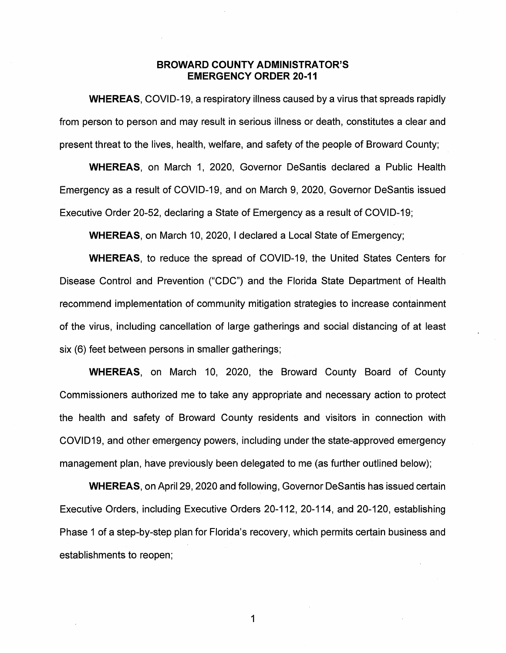# **BROWARD COUNTY ADMINISTRATOR'S EMERGENCY ORDER 20-11**

**WHEREAS,** COVID-19, a respiratory illness caused by a virus that spreads rapidly from person to person and may result in serious illness or death, constitutes a clear and present threat to the lives, health, welfare, and safety of the people of Broward County;

**WHEREAS,** on March 1, 2020, Governor Desantis declared a Public Health Emergency as a result of COVID-19, and on March 9, 2020, Governor Desantis issued Executive Order 20-52, declaring a State of Emergency as a result of COVID-19;

**WHEREAS,** on March 10, 2020, I declared a Local State of Emergency;

**WHEREAS,** to reduce the spread of COVID-19, the United States Centers for Disease Control and Prevention ("CDC") and the Florida State Department of Health recommend implementation of community mitigation strategies to increase containment of the virus, including cancellation of large gatherings and social distancing of at least six (6) feet between persons in smaller gatherings;

**WHEREAS,** on March 10, 2020, the Broward County Board of County Commissioners authorized me to take any appropriate and necessary action to protect the health and safety of Broward County residents and visitors in connection with COVID19, and other emergency powers, including under the state-approved emergency management plan, have previously been delegated to me (as further outlined below);

**WHEREAS, on April 29, 2020 and following, Governor DeSantis has issued certain** Executive Orders, including Executive Orders 20-112, 20-114, and 20-120, establishing Phase 1 of a step-by-step plan for Florida's recovery, which permits certain business and establishments to reopen;

1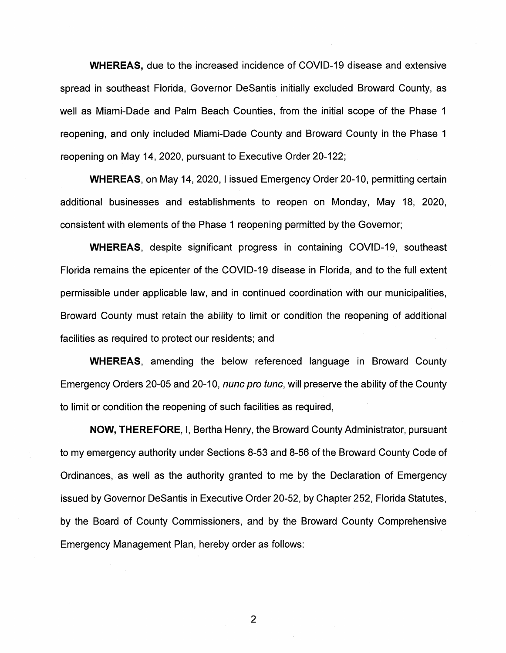**WHEREAS,** due to the increased incidence of COVID-19 disease and extensive spread in southeast Florida, Governor DeSantis initially excluded Broward County, as well as Miami-Dade and Palm Beach Counties, from the initial scope of the Phase 1 reopening, and only included Miami-Dade County and Broward County in the Phase 1 reopening on May 14, 2020, pursuant to Executive Order 20-122;

**WHEREAS,** on May 14, 2020, I issued Emergency Order 20-10, permitting certain additional businesses and establishments to reopen on Monday, May 18, 2020, consistent with elements of the Phase 1 reopening permitted by the Governor;

**WHEREAS,** despite significant progress in containing COVID-19, southeast Florida remains the epicenter of the COVID-19 disease in Florida, and to the full extent permissible under applicable law, and in continued coordination with our municipalities, Broward County must retain the ability to limit or condition the reopening of additional facilities as required to protect our residents; and

**WHEREAS,** amending the below referenced language in Broward County Emergency Orders 20-05 and 20-10, *nunc pro tunc*, will preserve the ability of the County to limit or condition the reopening of such facilities as required,

**NOW, THEREFORE,** I, Bertha Henry, the Broward County Administrator, pursuant to my emergency authority under Sections 8-53 and 8-56 of the Broward County Code of Ordinances, as well as the authority granted to me by the Declaration of Emergency issued by Governor DeSantis in Executive Order 20-52, by Chapter 252, Florida Statutes, by the Board of County Commissioners, and by the Broward County Comprehensive Emergency Management Plan, hereby order as follows:

2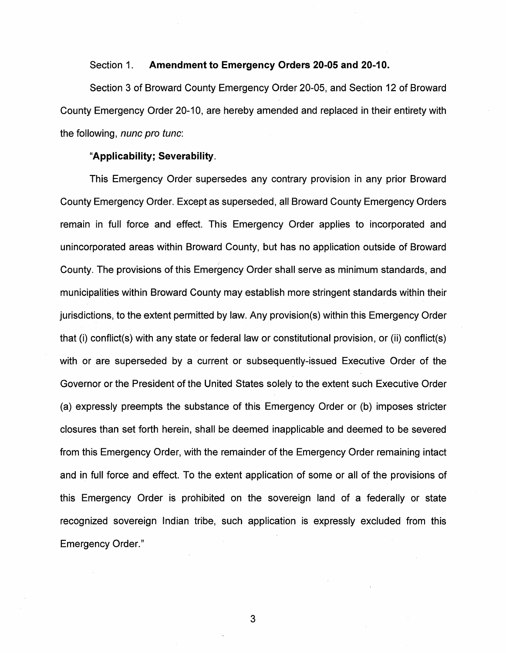### Section 1. **Amendment to Emergency Orders 20-05 and 20-10.**

Section 3 of Broward County Emergency Order 20-05, and Section 12 of Broward County Emergency Order 20-10, are hereby amended and replaced in their entirety with the following, *nunc pro tunc*:

# **"Applicability; Severability.**

This Emergency Order supersedes any contrary provision in any prior Broward County Emergency Order. Except as superseded, all Broward County Emergency Orders remain in full force and effect. This Emergency Order applies to incorporated and unincorporated areas within Broward County, but has no application outside of Broward County. The provisions of this Emergency Order shall serve as minimum standards, and municipalities within Broward County may establish more stringent standards within their jurisdictions, to the extent permitted by law. Any provision(s) within this Emergency Order that (i) conflict(s) with any state or federal law or constitutional provision, or (ii) conflict(s) with or are superseded by a current or subsequently-issued Executive Order of the Governor or the President of the United States solely to the extent such Executive Order (a) expressly preempts the substance of this Emergency Order or (b) imposes stricter closures than set forth herein, shall be deemed inapplicable and deemed to be severed from this Emergency Order, with the remainder of the Emergency Order remaining intact and in full force and effect. To the extent application of some or all of the provisions of this Emergency Order is prohibited on the sovereign land of a federally or state recognized sovereign Indian tribe, such application is expressly excluded from this Emergency Order."

3